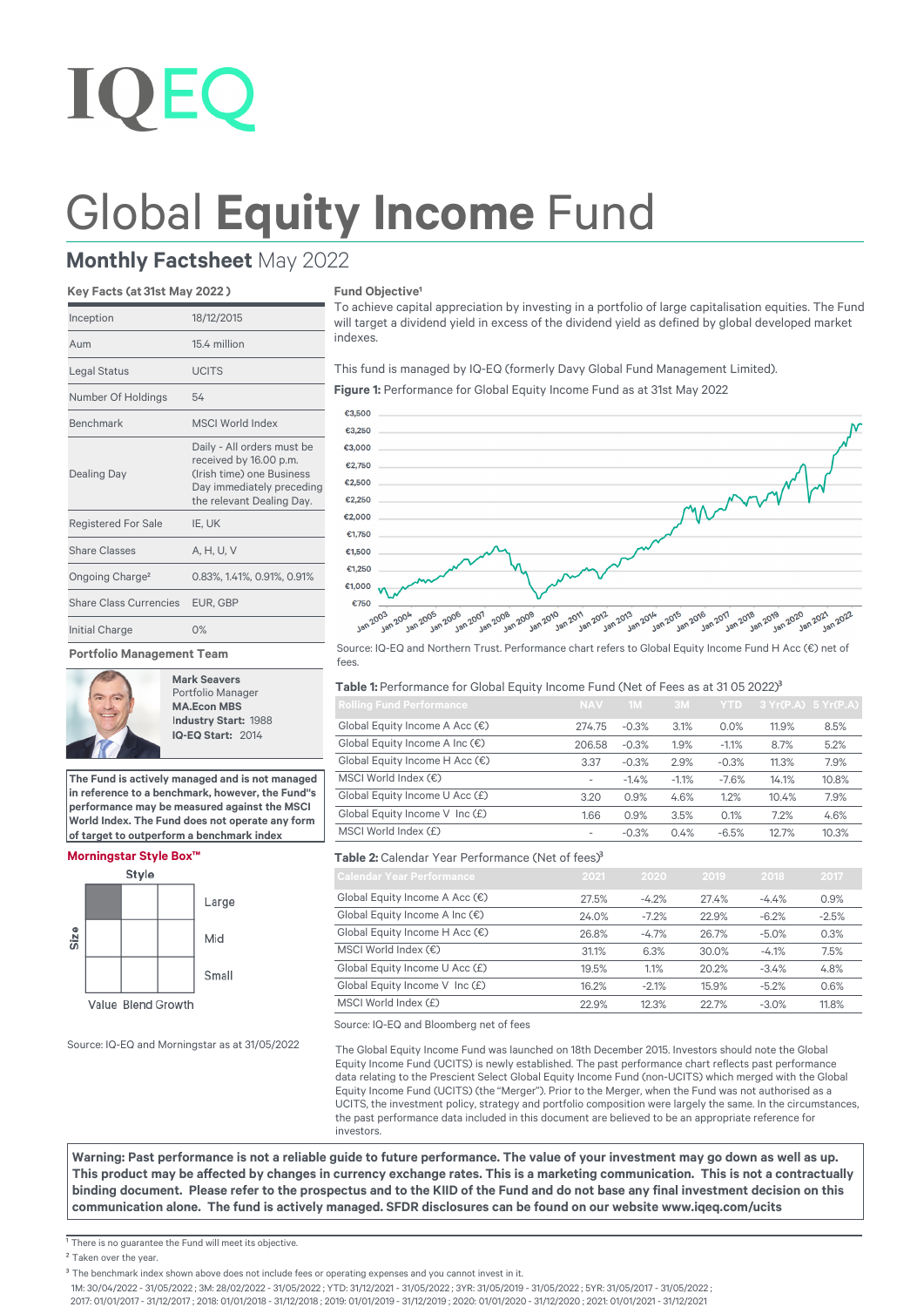# Global **Equity Income** Fund

indexes.

**Fund Objective<sup>1</sup>** 

## **Monthly Factsheet** May 2022

### **Key Facts (at 31st May 2022 )**

| Inception                     | 18/12/2015                                                                                                                                  |  |  |  |
|-------------------------------|---------------------------------------------------------------------------------------------------------------------------------------------|--|--|--|
| Aum                           | 15.4 million                                                                                                                                |  |  |  |
| Legal Status                  | <b>UCITS</b>                                                                                                                                |  |  |  |
| Number Of Holdings            | 54                                                                                                                                          |  |  |  |
| Benchmark                     | <b>MSCI World Index</b>                                                                                                                     |  |  |  |
| <b>Dealing Day</b>            | Daily - All orders must be<br>received by 16.00 p.m.<br>(Irish time) one Business<br>Day immediately preceding<br>the relevant Dealing Day. |  |  |  |
| <b>Registered For Sale</b>    | IE, UK                                                                                                                                      |  |  |  |
| Share Classes                 | A. H. U. V                                                                                                                                  |  |  |  |
| Ongoing Charge <sup>2</sup>   | 0.83%, 1.41%, 0.91%, 0.91%                                                                                                                  |  |  |  |
| <b>Share Class Currencies</b> | EUR, GBP                                                                                                                                    |  |  |  |
| Initial Charge                | O%                                                                                                                                          |  |  |  |
| Portfolio Management Team     |                                                                                                                                             |  |  |  |

**Mark Seavers** Portfolio Manager **MA.Econ MBS** I**ndustry Start:** 1988  **IQ-EQ Start:** 2014

**The Fund is actively managed and is not managed in reference to a benchmark, however, the Fund''s performance may be measured against the MSCI World Index. The Fund does not operate any form of target to outperform a benchmark index**

Large

Mid

Small



To achieve capital appreciation by investing in a portfolio of large capitalisation equities. The Fund will target a dividend yield in excess of the dividend yield as defined by global developed market

Source: IQ-EQ and Northern Trust. Performance chart refers to Global Equity Income Fund H Acc (€) net of fees.

#### **Table 1:** Performance for Global Equity Income Fund (Net of Fees as at 31 05 2022)<sup>3</sup>

**Figure 1:** Performance for Global Equity Income Fund as at 31st May 2022

This fund is managed by IQ-EQ (formerly Davy Global Fund Management Limited).

| <b>Rolling Fund Performance</b>         | <b>NAV</b>               | 1M      | 3M      | YTD.    | 3 Yr(P.A) 5 Yr(P.A) |       |
|-----------------------------------------|--------------------------|---------|---------|---------|---------------------|-------|
| Global Equity Income A Acc $(\epsilon)$ | 274.75                   | $-0.3%$ | 3.1%    | 0.0%    | 11.9%               | 8.5%  |
| Global Equity Income A Inc $(\epsilon)$ | 206.58                   | $-0.3%$ | 1.9%    | $-1.1%$ | 8.7%                | 5.2%  |
| Global Equity Income H Acc (€)          | 3.37                     | $-0.3%$ | 2.9%    | $-0.3%$ | 11.3%               | 7.9%  |
| MSCI World Index $(\epsilon)$           | $\overline{\phantom{a}}$ | $-1.4%$ | $-1.1%$ | $-7.6%$ | 14.1%               | 10.8% |
| Global Equity Income U Acc (£)          | 3.20                     | 0.9%    | 4.6%    | 1.2%    | 10.4%               | 7.9%  |
| Global Equity Income V Inc (£)          | 1.66                     | 0.9%    | 3.5%    | 0.1%    | 7.2%                | 4.6%  |
| MSCI World Index (£)                    | $\overline{\phantom{a}}$ | $-0.3%$ | 0.4%    | $-6.5%$ | 12.7%               | 10.3% |

## Table 2: Calendar Year Performance (Net of fees)<sup>3</sup>

| <b>Calendar Year Performance</b>        | 2021  | 2020    | 2019  | 2018    | 2017    |
|-----------------------------------------|-------|---------|-------|---------|---------|
| Global Equity Income A Acc $(\epsilon)$ | 27.5% | $-4.2%$ | 27.4% | $-4.4%$ | 0.9%    |
| Global Equity Income A Inc $(\epsilon)$ | 24.0% | $-7.2%$ | 22.9% | $-6.2%$ | $-2.5%$ |
| Global Equity Income H Acc $(\epsilon)$ | 26.8% | $-4.7%$ | 26.7% | $-5.0%$ | 0.3%    |
| MSCI World Index $(\epsilon)$           | 31.1% | 6.3%    | 30.0% | $-4.1%$ | 7.5%    |
| Global Equity Income U Acc (£)          | 19.5% | 1.1%    | 20.2% | $-3.4%$ | 4.8%    |
| Global Equity Income V Inc (£)          | 16.2% | $-2.1%$ | 15.9% | $-5.2%$ | 0.6%    |
| MSCI World Index (£)                    | 22.9% | 12.3%   | 22.7% | $-3.0%$ | 11.8%   |

Source: IQ-EQ and Bloomberg net of fees

The Global Equity Income Fund was launched on 18th December 2015. Investors should note the Global Equity Income Fund (UCITS) is newly established. The past performance chart reflects past performance data relating to the Prescient Select Global Equity Income Fund (non-UCITS) which merged with the Global Equity Income Fund (UCITS) (the "Merger"). Prior to the Merger, when the Fund was not authorised as a UCITS, the investment policy, strategy and portfolio composition were largely the same. In the circumstances, the past performance data included in this document are believed to be an appropriate reference for investors.

**Warning: Past performance is not a reliable guide to future performance. The value of your investment may go down as well as up.**  This product may be affected by changes in currency exchange rates. This is a marketing communication. This is not a contractually binding document. Please refer to the prospectus and to the KIID of the Fund and do not base any final investment decision on this **communication alone.b The fund is actively managed. SFDR disclosures can be found on our website www.iqeq.com/ucits**

 $\overline{1}$  There is no quarantee the Fund will meet its objective.

Source: IQ-EQ and Morningstar as at 31/05/2022

**Morningstar Style Box™**

Size

Style

Value Blend Growth

1M: 30/04/2022 - 31/05/2022 ; 3M: 28/02/2022 - 31/05/2022 ; YTD: 31/12/2021 - 31/05/2022 ; 3YR: 31/05/2019 - 31/05/2022 ; 5YR: 31/05/2017 - 31/05/2022 ;

2017: 01/01/2017 - 31/12/2017 ; 2018: 01/01/2018 - 31/12/2018 ; 2019: 01/01/2019 - 31/12/2019 ; 2020: 01/01/2020 - 31/12/2020 ; 2021: 01/01/2021 - 31/12/2021

<sup>&</sup>lt;sup>2</sup> Taken over the year.

<sup>&</sup>lt;sup>3</sup> The benchmark index shown above does not include fees or operating expenses and you cannot invest in it.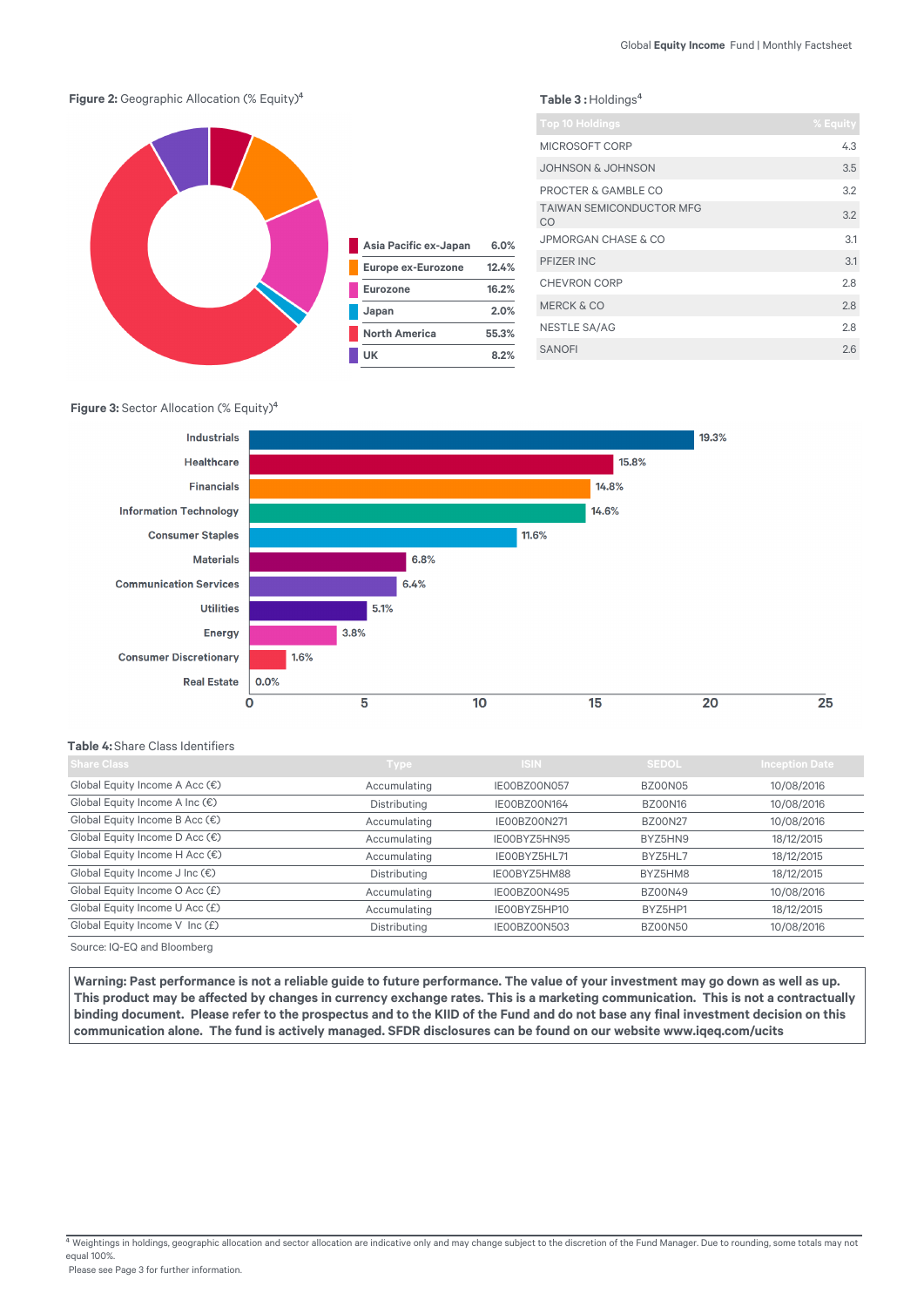

#### Table 3 : Holdings<sup>4</sup>

| <b>Top 10 Holdings</b>                | % Equity |
|---------------------------------------|----------|
| MICROSOFT CORP                        | 4.3      |
| <b>JOHNSON &amp; JOHNSON</b>          | 3.5      |
| PROCTER & GAMBLE CO                   | 3.2      |
| <b>TAIWAN SEMICONDUCTOR MFG</b><br>CO | 3.2      |
| JPMORGAN CHASE & CO                   | 3.1      |
| PFIZER INC                            | 3.1      |
| <b>CHEVRON CORP</b>                   | 2.8      |
| <b>MERCK &amp; CO</b>                 | 28       |
| NESTLE SA/AG                          | 2.8      |
| <b>SANOFI</b>                         | 2.6      |

## **Figure 3:** Sector Allocation (% Equity)<sup>4</sup>



#### **Table 4:** Share Class Identifiers

| <b>Share Class</b>                      | <b>Type</b>  | <b>ISIN</b>         | <b>SEDOL</b>   | <b>Inception Date</b> |
|-----------------------------------------|--------------|---------------------|----------------|-----------------------|
| Global Equity Income A Acc $(\epsilon)$ | Accumulating | IE00BZ00N057        | <b>BZ00N05</b> | 10/08/2016            |
| Global Equity Income A Inc $(\epsilon)$ | Distributing | IE00BZ00N164        | <b>BZ00N16</b> | 10/08/2016            |
| Global Equity Income B Acc $(\epsilon)$ | Accumulating | <b>IE00BZ00N271</b> | <b>BZ00N27</b> | 10/08/2016            |
| Global Equity Income D Acc (€)          | Accumulating | IE00BYZ5HN95        | BYZ5HN9        | 18/12/2015            |
| Global Equity Income H Acc $(\epsilon)$ | Accumulating | IE00BYZ5HL71        | BYZ5HL7        | 18/12/2015            |
| Global Equity Income J Inc (€)          | Distributing | IE00BYZ5HM88        | BYZ5HM8        | 18/12/2015            |
| Global Equity Income O Acc (£)          | Accumulating | IE00BZ00N495        | <b>BZ00N49</b> | 10/08/2016            |
| Global Equity Income U Acc (£)          | Accumulating | IE00BYZ5HP10        | BYZ5HP1        | 18/12/2015            |
| Global Equity Income V Inc (£)          | Distributing | <b>IE00BZ00N503</b> | <b>BZ00N50</b> | 10/08/2016            |
| Source: IQ-EQ and Bloomberg             |              |                     |                |                       |

**Warning: Past performance is not a reliable guide to future performance. The value of your investment may go down as well as up.**  This product may be affected by changes in currency exchange rates. This is a marketing communication. This is not a contractually binding document. Please refer to the prospectus and to the KIID of the Fund and do not base any final investment decision on this communication alone. The fund is actively managed. SFDR disclosures can be found on our website www.iqeq.com/ucits

Weightings in holdings, geographic allocation and sector allocation are indicative only and may change subject to the discretion of the Fund Manager. Due to rounding, some totals may not equal 100%.

Please see Page 3 for further information.